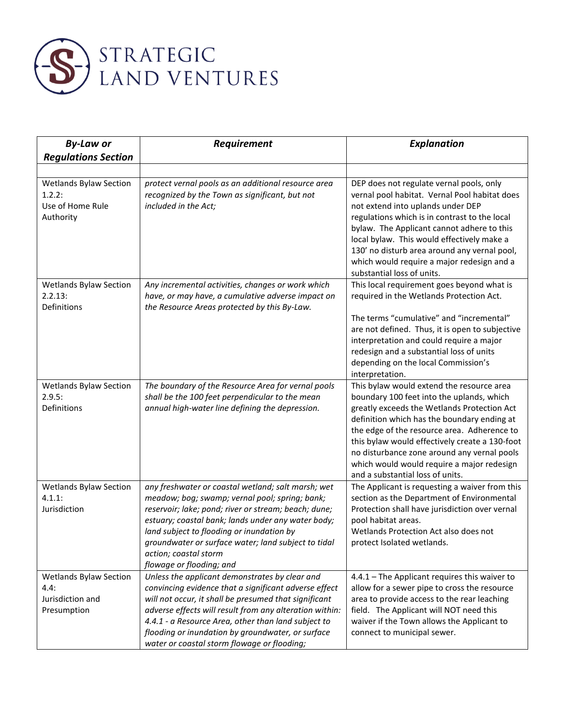

| <b>By-Law or</b>                                                         | Requirement                                                                                                                                                                                                                                                                                                                                                                            | <b>Explanation</b>                                                                                                                                                                                                                                                                                                                                                                                                     |
|--------------------------------------------------------------------------|----------------------------------------------------------------------------------------------------------------------------------------------------------------------------------------------------------------------------------------------------------------------------------------------------------------------------------------------------------------------------------------|------------------------------------------------------------------------------------------------------------------------------------------------------------------------------------------------------------------------------------------------------------------------------------------------------------------------------------------------------------------------------------------------------------------------|
| <b>Regulations Section</b>                                               |                                                                                                                                                                                                                                                                                                                                                                                        |                                                                                                                                                                                                                                                                                                                                                                                                                        |
| <b>Wetlands Bylaw Section</b><br>1.2.2:<br>Use of Home Rule<br>Authority | protect vernal pools as an additional resource area<br>recognized by the Town as significant, but not<br>included in the Act;                                                                                                                                                                                                                                                          | DEP does not regulate vernal pools, only<br>vernal pool habitat. Vernal Pool habitat does<br>not extend into uplands under DEP<br>regulations which is in contrast to the local<br>bylaw. The Applicant cannot adhere to this<br>local bylaw. This would effectively make a<br>130' no disturb area around any vernal pool,<br>which would require a major redesign and a<br>substantial loss of units.                |
| <b>Wetlands Bylaw Section</b><br>2.2.13:<br>Definitions                  | Any incremental activities, changes or work which<br>have, or may have, a cumulative adverse impact on<br>the Resource Areas protected by this By-Law.                                                                                                                                                                                                                                 | This local requirement goes beyond what is<br>required in the Wetlands Protection Act.                                                                                                                                                                                                                                                                                                                                 |
|                                                                          |                                                                                                                                                                                                                                                                                                                                                                                        | The terms "cumulative" and "incremental"<br>are not defined. Thus, it is open to subjective<br>interpretation and could require a major<br>redesign and a substantial loss of units<br>depending on the local Commission's<br>interpretation.                                                                                                                                                                          |
| <b>Wetlands Bylaw Section</b><br>2.9.5:<br>Definitions                   | The boundary of the Resource Area for vernal pools<br>shall be the 100 feet perpendicular to the mean<br>annual high-water line defining the depression.                                                                                                                                                                                                                               | This bylaw would extend the resource area<br>boundary 100 feet into the uplands, which<br>greatly exceeds the Wetlands Protection Act<br>definition which has the boundary ending at<br>the edge of the resource area. Adherence to<br>this bylaw would effectively create a 130-foot<br>no disturbance zone around any vernal pools<br>which would would require a major redesign<br>and a substantial loss of units. |
| <b>Wetlands Bylaw Section</b><br>$4.1.1$ :<br>Jurisdiction               | any freshwater or coastal wetland; salt marsh; wet<br>meadow; bog; swamp; vernal pool; spring; bank;<br>reservoir; lake; pond; river or stream; beach; dune;<br>estuary; coastal bank; lands under any water body;<br>land subject to flooding or inundation by<br>groundwater or surface water; land subject to tidal<br>action; coastal storm<br>flowage or flooding; and            | The Applicant is requesting a waiver from this<br>section as the Department of Environmental<br>Protection shall have jurisdiction over vernal<br>pool habitat areas.<br>Wetlands Protection Act also does not<br>protect Isolated wetlands.                                                                                                                                                                           |
| <b>Wetlands Bylaw Section</b><br>4.4:<br>Jurisdiction and<br>Presumption | Unless the applicant demonstrates by clear and<br>convincing evidence that a significant adverse effect<br>will not occur, it shall be presumed that significant<br>adverse effects will result from any alteration within:<br>4.4.1 - a Resource Area, other than land subject to<br>flooding or inundation by groundwater, or surface<br>water or coastal storm flowage or flooding; | 4.4.1 - The Applicant requires this waiver to<br>allow for a sewer pipe to cross the resource<br>area to provide access to the rear leaching<br>field. The Applicant will NOT need this<br>waiver if the Town allows the Applicant to<br>connect to municipal sewer.                                                                                                                                                   |